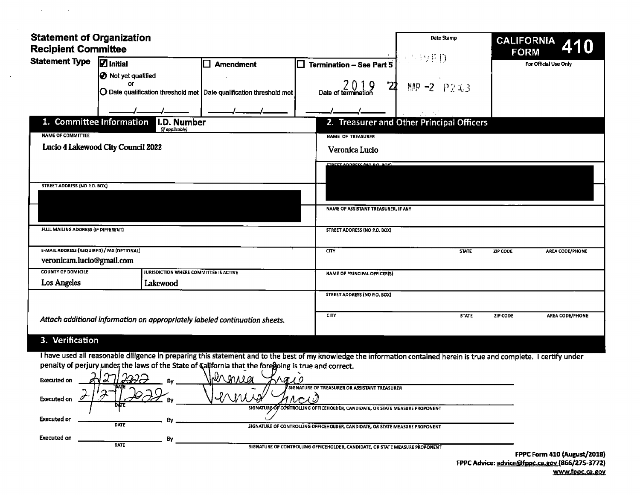| <b>Statement of Organization</b><br><b>Recipient Committee</b>                                                                                                                                                                                                                                                                                                                                                                                                                  | Date Stamp<br><b>CALIFORNIA</b> 410                                                                                                                                                                                                                                                                                                                                                                                                                                             |
|---------------------------------------------------------------------------------------------------------------------------------------------------------------------------------------------------------------------------------------------------------------------------------------------------------------------------------------------------------------------------------------------------------------------------------------------------------------------------------|---------------------------------------------------------------------------------------------------------------------------------------------------------------------------------------------------------------------------------------------------------------------------------------------------------------------------------------------------------------------------------------------------------------------------------------------------------------------------------|
| Statement Type   Initial<br>] Amendment                                                                                                                                                                                                                                                                                                                                                                                                                                         | BYETY.<br>_______<br>For Official Use Only<br>$\Box$ Termination - See Part 5                                                                                                                                                                                                                                                                                                                                                                                                   |
| <b>1</b> Not yet qualified<br><b>Or</b><br>$\vert$ O Date qualification threshold met Date qualification threshold met                                                                                                                                                                                                                                                                                                                                                          | 2 0 1 0<br>Date of termination<br><b>4</b> MAP -2 $P2.03$                                                                                                                                                                                                                                                                                                                                                                                                                       |
| $\overline{\phantom{a}}$ $\overline{\phantom{a}}$ $\overline{\phantom{a}}$ $\overline{\phantom{a}}$ $\overline{\phantom{a}}$ $\overline{\phantom{a}}$ $\overline{\phantom{a}}$ $\overline{\phantom{a}}$ $\overline{\phantom{a}}$ $\overline{\phantom{a}}$ $\overline{\phantom{a}}$ $\overline{\phantom{a}}$ $\overline{\phantom{a}}$ $\overline{\phantom{a}}$ $\overline{\phantom{a}}$ $\overline{\phantom{a}}$ $\overline{\phantom{a}}$ $\overline{\phantom{a}}$ $\overline{\$ | $\overline{\phantom{a}}$ $\overline{\phantom{a}}$ $\overline{\phantom{a}}$ $\overline{\phantom{a}}$ $\overline{\phantom{a}}$ $\overline{\phantom{a}}$ $\overline{\phantom{a}}$ $\overline{\phantom{a}}$ $\overline{\phantom{a}}$ $\overline{\phantom{a}}$ $\overline{\phantom{a}}$ $\overline{\phantom{a}}$ $\overline{\phantom{a}}$ $\overline{\phantom{a}}$ $\overline{\phantom{a}}$ $\overline{\phantom{a}}$ $\overline{\phantom{a}}$ $\overline{\phantom{a}}$ $\overline{\$ |
| 1. Committee Information <b>1.D. Number</b><br>(if applicable)                                                                                                                                                                                                                                                                                                                                                                                                                  | 2. Treasurer and Other Principal Officers                                                                                                                                                                                                                                                                                                                                                                                                                                       |
| NAME OF COMMITTEE<br>Lucio 4 Lakewood City Council 2022                                                                                                                                                                                                                                                                                                                                                                                                                         | NAME OF TREASURER<br>Veronica Lucio                                                                                                                                                                                                                                                                                                                                                                                                                                             |
|                                                                                                                                                                                                                                                                                                                                                                                                                                                                                 | <b>STREET ANNRECC (NO RO ROY)</b>                                                                                                                                                                                                                                                                                                                                                                                                                                               |
| STREET ADDRESS (NO P.O. BOX)                                                                                                                                                                                                                                                                                                                                                                                                                                                    |                                                                                                                                                                                                                                                                                                                                                                                                                                                                                 |
|                                                                                                                                                                                                                                                                                                                                                                                                                                                                                 | NAME OF ASSISTANT TREASURER, IF ANY                                                                                                                                                                                                                                                                                                                                                                                                                                             |
|                                                                                                                                                                                                                                                                                                                                                                                                                                                                                 |                                                                                                                                                                                                                                                                                                                                                                                                                                                                                 |
| <b>FULL MAILING ADDRESS (IF DIFFERENT)</b>                                                                                                                                                                                                                                                                                                                                                                                                                                      | STREET ADDRESS (NO P.O. BOX)                                                                                                                                                                                                                                                                                                                                                                                                                                                    |
| E-MAIL ADDRESS (REQUIRED) / FAX (OPTIONAL)<br>veronicam.lucio@gmail.com                                                                                                                                                                                                                                                                                                                                                                                                         | AREA CODE/PHONE<br>ZIP CODE                                                                                                                                                                                                                                                                                                                                                                                                                                                     |
| <b>COUNTY OF DOMICILE</b><br>JURISDICTION WHERE COMMITTEE IS ACTIVE<br><b>Los Angeles</b><br>Lakewood                                                                                                                                                                                                                                                                                                                                                                           | NAME OF PRINCIPAL OFFICER(S)                                                                                                                                                                                                                                                                                                                                                                                                                                                    |
|                                                                                                                                                                                                                                                                                                                                                                                                                                                                                 | STREET ADDRESS (NO P.O. BOX)                                                                                                                                                                                                                                                                                                                                                                                                                                                    |
| Attach additional information on appropriately labeled continuation sheets.                                                                                                                                                                                                                                                                                                                                                                                                     | STATE ZIP CODE AREA CODE/PHONE                                                                                                                                                                                                                                                                                                                                                                                                                                                  |
| 3. Verification                                                                                                                                                                                                                                                                                                                                                                                                                                                                 |                                                                                                                                                                                                                                                                                                                                                                                                                                                                                 |
|                                                                                                                                                                                                                                                                                                                                                                                                                                                                                 | I have used all reasonable diligence in preparing this statement and to the best of my knowledge the information contained herein is true and complete. I certify under                                                                                                                                                                                                                                                                                                         |
| penalty of perjury under the laws of the State of California that the foregoing is true and correct.<br>صصار<br>Executed on $\Delta$                                                                                                                                                                                                                                                                                                                                            |                                                                                                                                                                                                                                                                                                                                                                                                                                                                                 |
| <del>jUH -</del><br>$\sim$ $\cap$<br>Executed on $\mathcal{I}(\mathcal{I})$                                                                                                                                                                                                                                                                                                                                                                                                     | VI MALEL VICO                                                                                                                                                                                                                                                                                                                                                                                                                                                                   |
|                                                                                                                                                                                                                                                                                                                                                                                                                                                                                 | SIGNATURE OF CONTROLLING OFFICEHOLDER, CANDIDATE, OR STATE MEASURE PROPONENT                                                                                                                                                                                                                                                                                                                                                                                                    |
| Executed on $\frac{1}{\sqrt{1-\frac{1}{2}}\sqrt{1-\frac{1}{2}}\sqrt{1-\frac{1}{2}}\sqrt{1-\frac{1}{2}}}}$                                                                                                                                                                                                                                                                                                                                                                       | SIGNATURE OF CONTROLLING OFFICEHOLDER, CANDIDATE, OR STATE MEASURE PROPONENT                                                                                                                                                                                                                                                                                                                                                                                                    |
| Executed on <u>entitled</u> the state of controlling of the series of controlling of the series of controlling of the state of controlling of the state of controlling of the state of controlling of the state of state measure pr                                                                                                                                                                                                                                             |                                                                                                                                                                                                                                                                                                                                                                                                                                                                                 |

 $\sim 100$